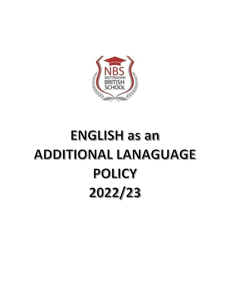

## **ENGLISH as an ADDITIONAL LANAGUAGE** POLICY 2022/23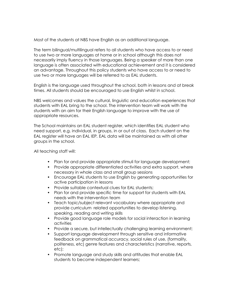Most of the students at NBS have English as an additional language.

The term bilingual/multilingual refers to all students who have access to or need to use two or more languages at home or in school although this does not necessarily imply fluency in those languages. Being a speaker of more than one language is often associated with educational achievement and it is considered an advantage. Throughout this policy students who have access to or need to use two or more languages will be referred to as EAL students.

English is the language used throughout the school, both in lessons and at break times. All students should be encouraged to use English whilst in school.

NBS welcomes and values the cultural, linguistic and education experiences that students with EAL bring to the school. The intervention team will work with the students with an aim for their English language to improve with the use of appropriate resources.

The School maintains an EAL student register, which identifies EAL student who need support, e.g. individual, in groups, in or out of class. Each student on the EAL register will have an EAL IEP*.* EAL data will be maintained as with all other groups in the school.

All teaching staff will:

- Plan for and provide appropriate stimuli for language development;
- Provide appropriate differentiated activities and extra support, where necessary in whole class and small group sessions
- Encourage EAL students to use English by generating opportunities for active participation in lessons
- Provide suitable contextual clues for EAL students;
- Plan for and provide specific time for support for students with EAL needs with the intervention team
- Teach topic/subject relevant vocabulary where appropriate and provide curriculum related opportunities to develop listening, speaking, reading and writing skills
- Provide good language role models for social interaction in learning activities
- Provide a secure, but intellectually challenging learning environment;
- Support language development through sensitive and informative feedback on grammatical accuracy, social rules of use, (formality, politeness, etc) genre features and characteristics (narrative, reports, etc);
- Promote language and study skills and attitudes that enable EAL students to become independent learners;